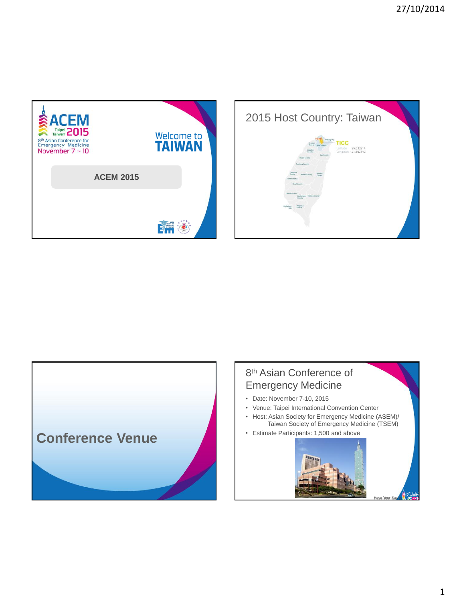





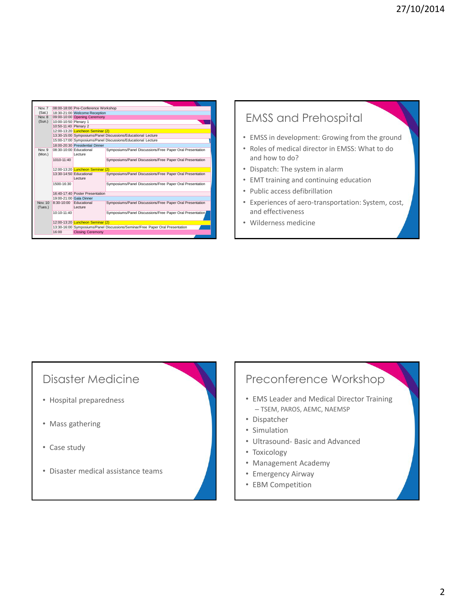|               |                                         | Symposiums/Panel Discussions/Free Paper Oral Presentation                                                                                                                                                                                                                                                                                                                                                                                                                                                                                                                      |
|---------------|-----------------------------------------|--------------------------------------------------------------------------------------------------------------------------------------------------------------------------------------------------------------------------------------------------------------------------------------------------------------------------------------------------------------------------------------------------------------------------------------------------------------------------------------------------------------------------------------------------------------------------------|
| 1010-11:40    |                                         | Symposiums/Panel Discussions/Free Paper Oral Presentation                                                                                                                                                                                                                                                                                                                                                                                                                                                                                                                      |
|               |                                         |                                                                                                                                                                                                                                                                                                                                                                                                                                                                                                                                                                                |
|               | Lecture                                 | Symposiums/Panel Discussions/Free Paper Oral Presentation                                                                                                                                                                                                                                                                                                                                                                                                                                                                                                                      |
| 1500-16:30    |                                         | Symposiums/Panel Discussions/Free Paper Oral Presentation                                                                                                                                                                                                                                                                                                                                                                                                                                                                                                                      |
|               |                                         |                                                                                                                                                                                                                                                                                                                                                                                                                                                                                                                                                                                |
|               |                                         |                                                                                                                                                                                                                                                                                                                                                                                                                                                                                                                                                                                |
|               |                                         | Symposiums/Panel Discussions/Free Paper Oral Presentation                                                                                                                                                                                                                                                                                                                                                                                                                                                                                                                      |
| $10:10-11:40$ |                                         | Symposiums/Panel Discussions/Free Paper Oral Presentation                                                                                                                                                                                                                                                                                                                                                                                                                                                                                                                      |
|               |                                         |                                                                                                                                                                                                                                                                                                                                                                                                                                                                                                                                                                                |
|               | 12:00-13:20 <b>Luncheon Seminar (2)</b> |                                                                                                                                                                                                                                                                                                                                                                                                                                                                                                                                                                                |
|               |                                         | 13:30-16:00 Symposiums/Panel Discussions/Seminar/Free Paper Oral Presentation                                                                                                                                                                                                                                                                                                                                                                                                                                                                                                  |
|               |                                         | 08:00-18:00 Pre-Conference Workshop<br>18:30-21:00 Welcome Reception<br>09:00-10:00 Opening Ceremony<br>10:00-10:50 Plenary 1<br>10:50-11:40 Plenary 2<br>12:00-13:20 <b>Luncheon Seminar (2)</b><br>13:30-15:00 Symposiums/Panel Discussions/Educational Lecture<br>15:00-17:00 Symposiums/Panel Discussions/Educational Lecture<br>18:00-20:30 Presidential Dinner<br>08:30-10:00 Educational<br>I ecture<br>12:00-13:20 Luncheon Seminar (2)<br>13:30-14:50 Educational<br>16:40-17:40 Poster Presentation<br>19:00-21:00 Gala Dinner<br>8:30-10:00 Educational<br>I ecture |

# EMSS and Prehospital

- EMSS in development: Growing from the ground
- Roles of medical director in EMSS: What to do and how to do?
- Dispatch: The system in alarm
- EMT training and continuing education
- Public access defibrillation
- Experiences of aero-transportation: System, cost, and effectiveness
- Wilderness medicine

## Disaster Medicine

- Hospital preparedness
- Mass gathering
- Case study
- Disaster medical assistance teams

# Preconference Workshop

- EMS Leader and Medical Director Training – TSEM, PAROS, AEMC, NAEMSP
- Dispatcher
- Simulation
- Ultrasound- Basic and Advanced
- Toxicology
- Management Academy
- Emergency Airway
- EBM Competition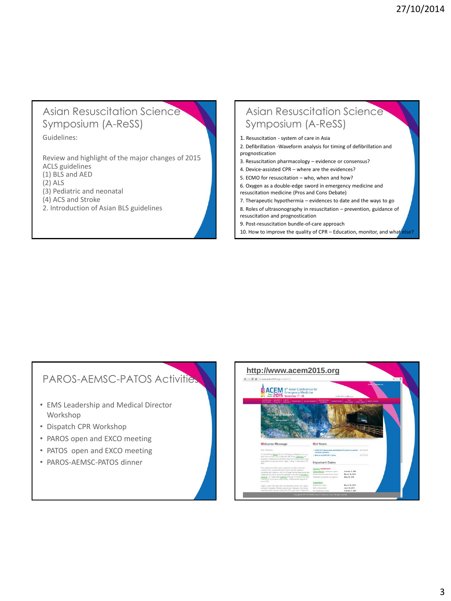#### Asian Resuscitation Science Symposium (A-ReSS)

Guidelines:

Review and highlight of the major changes of 2015 ACLS guidelines (1) BLS and AED (2) ALS (3) Pediatric and neonatal (4) ACS and Stroke 2. Introduction of Asian BLS guidelines

## Asian Resuscitation Science Symposium (A-ReSS)

1. Resuscitation - system of care in Asia

- 2. Defibrillation -Waveform analysis for timing of defibrillation and prognostication
- 3. Resuscitation pharmacology evidence or consensus?
- 4. Device-assisted CPR where are the evidences?
- 5. ECMO for resuscitation who, when and how?
- 6. Oxygen as a double-edge sword in emergency medicine and resuscitation medicine (Pros and Cons Debate)
- 7. Therapeutic hypothermia evidences to date and the ways to go
- 8. Roles of ultrasonography in resuscitation prevention, guidance of resuscitation and prognostication
- 9. Post-resuscitation bundle-of-care approach

10. How to improve the quality of CPR – Education, monitor, and what else

## PAROS-AEMSC-PATOS Activities

- EMS Leadership and Medical Director Workshop
- Dispatch CPR Workshop
- PAROS open and EXCO meeting
- PATOS open and EXCO meeting
- PAROS-AEMSC-PATOS dinner